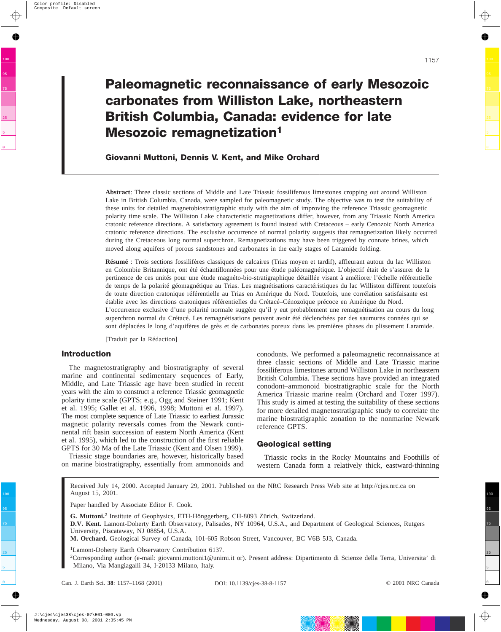# **Paleomagnetic reconnaissance of early Mesozoic carbonates from Williston Lake, northeastern British Columbia, Canada: evidence for late Mesozoic remagnetization1**

**Giovanni Muttoni, Dennis V. Kent, and Mike Orchard**

**Abstract**: Three classic sections of Middle and Late Triassic fossiliferous limestones cropping out around Williston Lake in British Columbia, Canada, were sampled for paleomagnetic study. The objective was to test the suitability of these units for detailed magnetobiostratigraphic study with the aim of improving the reference Triassic geomagnetic polarity time scale. The Williston Lake characteristic magnetizations differ, however, from any Triassic North America cratonic reference directions. A satisfactory agreement is found instead with Cretaceous – early Cenozoic North America cratonic reference directions. The exclusive occurrence of normal polarity suggests that remagnetization likely occurred during the Cretaceous long normal superchron. Remagnetizations may have been triggered by connate brines, which moved along aquifers of porous sandstones and carbonates in the early stages of Laramide folding.

**Résumé** : Trois sections fossilifères classiques de calcaires (Trias moyen et tardif), affleurant autour du lac Williston en Colombie Britannique, ont été échantillonnées pour une étude paléomagnétique. L'objectif était de s'assurer de la pertinence de ces unités pour une étude magnéto-bio-stratigraphique détaillée visant à améliorer l'échelle référentielle de temps de la polarité géomagnétique au Trias. Les magnétisations caractéristiques du lac Williston diffèrent toutefois de toute direction cratonique référentielle au Trias en Amérique du Nord. Toutefois, une corrélation satisfaisante est établie avec les directions cratoniques référentielles du Crétacé–Cénozoïque précoce en Amérique du Nord. L'occurrence exclusive d'une polarité normale suggère qu'il y eut probablement une remagnétisation au cours du long superchron normal du Crétacé. Les remagnétisations peuvent avoir été déclenchées par des saumures connées qui se sont déplacées le long d'aquifères de grès et de carbonates poreux dans les premières phases du plissement Laramide.

[Traduit par la Rédaction]

## **Introduction**

The magnetostratigraphy and biostratigraphy of several marine and continental sedimentary sequences of Early, Middle, and Late Triassic age have been studied in recent years with the aim to construct a reference Triassic geomagnetic polarity time scale (GPTS; e.g., Ogg and Steiner 1991; Kent et al. 1995; Gallet et al. 1996, 1998; Muttoni et al. 1997). The most complete sequence of Late Triassic to earliest Jurassic magnetic polarity reversals comes from the Newark continental rift basin succession of eastern North America (Kent et al. 1995), which led to the construction of the first reliable GPTS for 30 Ma of the Late Triassic (Kent and Olsen 1999).

Triassic stage boundaries are, however, historically based on marine biostratigraphy, essentially from ammonoids and conodonts. We performed a paleomagnetic reconnaissance at three classic sections of Middle and Late Triassic marine fossiliferous limestones around Williston Lake in northeastern British Columbia. These sections have provided an integrated conodont–ammonoid biostratigraphic scale for the North America Triassic marine realm (Orchard and Tozer 1997). This study is aimed at testing the suitability of these sections for more detailed magnetostratigraphic study to correlate the marine biostratigraphic zonation to the nonmarine Newark reference GPTS.

# **Geological setting**

Triassic rocks in the Rocky Mountains and Foothills of western Canada form a relatively thick, eastward-thinning

Received July 14, 2000. Accepted January 29, 2001. Published on the NRC Research Press Web site at http://cjes.nrc.ca on August 15, 2001.

Paper handled by Associate Editor F. Cook.

**G. Muttoni.<sup>2</sup>** Institute of Geophysics, ETH-Hönggerberg, CH-8093 Zürich, Switzerland.

**D.V. Kent.** Lamont-Doherty Earth Observatory, Palisades, NY 10964, U.S.A., and Department of Geological Sciences, Rutgers University, Piscataway, NJ 08854, U.S.A.

**M. Orchard.** Geological Survey of Canada, 101-605 Robson Street, Vancouver, BC V6B 5J3, Canada.

<sup>1</sup>Lamont-Doherty Earth Observatory Contribution 6137.

2 Corresponding author (e-mail: giovanni.muttoni1@unimi.it or). Present address: Dipartimento di Scienze della Terra, Universita' di Milano, Via Mangiagalli 34, I-20133 Milano, Italy.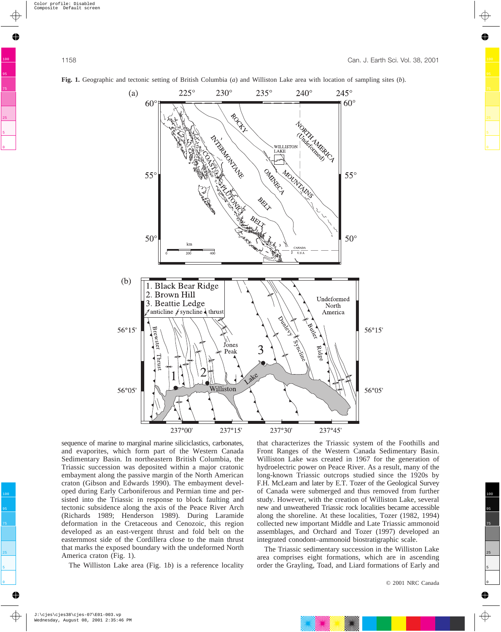

**Fig. 1.** Geographic and tectonic setting of British Columbia (*a*) and Williston Lake area with location of sampling sites (*b*).

sequence of marine to marginal marine siliciclastics, carbonates, and evaporites, which form part of the Western Canada Sedimentary Basin. In northeastern British Columbia, the Triassic succession was deposited within a major cratonic embayment along the passive margin of the North American craton (Gibson and Edwards 1990). The embayment developed during Early Carboniferous and Permian time and persisted into the Triassic in response to block faulting and tectonic subsidence along the axis of the Peace River Arch (Richards 1989; Henderson 1989). During Laramide deformation in the Cretaceous and Cenozoic, this region developed as an east-vergent thrust and fold belt on the easternmost side of the Cordillera close to the main thrust that marks the exposed boundary with the undeformed North America craton (Fig. 1).

The Williston Lake area (Fig. 1*b*) is a reference locality

that characterizes the Triassic system of the Foothills and Front Ranges of the Western Canada Sedimentary Basin. Williston Lake was created in 1967 for the generation of hydroelectric power on Peace River. As a result, many of the long-known Triassic outcrops studied since the 1920s by F.H. McLearn and later by E.T. Tozer of the Geological Survey of Canada were submerged and thus removed from further study. However, with the creation of Williston Lake, several new and unweathered Triassic rock localities became accessible along the shoreline. At these localities, Tozer (1982, 1994) collected new important Middle and Late Triassic ammonoid assemblages, and Orchard and Tozer (1997) developed an integrated conodont–ammonoid biostratigraphic scale.

The Triassic sedimentary succession in the Williston Lake area comprises eight formations, which are in ascending order the Grayling, Toad, and Liard formations of Early and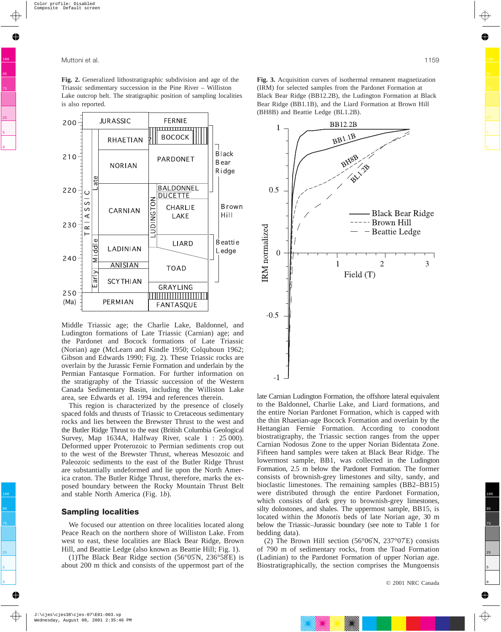**Fig. 2.** Generalized lithostratigraphic subdivision and age of the Triassic sedimentary succession in the Pine River – Williston Lake outcrop belt. The stratigraphic position of sampling localities is also reported.



Middle Triassic age; the Charlie Lake, Baldonnel, and Ludington formations of Late Triassic (Carnian) age; and the Pardonet and Bocock formations of Late Triassic (Norian) age (McLearn and Kindle 1950; Colquhoun 1962; Gibson and Edwards 1990; Fig. 2). These Triassic rocks are overlain by the Jurassic Fernie Formation and underlain by the Permian Fantasque Formation. For further information on the stratigraphy of the Triassic succession of the Western Canada Sedimentary Basin, including the Williston Lake area, see Edwards et al. 1994 and references therein.

This region is characterized by the presence of closely spaced folds and thrusts of Triassic to Cretaceous sedimentary rocks and lies between the Brewster Thrust to the west and the Butler Ridge Thrust to the east (British Columbia Geological Survey, Map 1634A, Halfway River, scale 1 : 25 000). Deformed upper Proterozoic to Permian sediments crop out to the west of the Brewster Thrust, whereas Mesozoic and Paleozoic sediments to the east of the Butler Ridge Thrust are substantially undeformed and lie upon the North America craton. The Butler Ridge Thrust, therefore, marks the exposed boundary between the Rocky Mountain Thrust Belt and stable North America (Fig. 1*b*).

#### **Sampling localities**

We focused our attention on three localities located along Peace Reach on the northern shore of Williston Lake. From west to east, these localities are Black Bear Ridge, Brown Hill, and Beattie Ledge (also known as Beattie Hill; Fig. 1).

(1)The Black Bear Ridge section (56°05′N, 236°58′E) is about 200 m thick and consists of the uppermost part of the **Fig. 3.** Acquisition curves of isothermal remanent magnetization (IRM) for selected samples from the Pardonet Formation at Black Bear Ridge (BB12.2B), the Ludington Formation at Black Bear Ridge (BB1.1B), and the Liard Formation at Brown Hill (BH8B) and Beattie Ledge (BL1.2B).



late Carnian Ludington Formation, the offshore lateral equivalent to the Baldonnel, Charlie Lake, and Liard formations, and the entire Norian Pardonet Formation, which is capped with the thin Rhaetian-age Bocock Formation and overlain by the Hettangian Fernie Formation. According to conodont biostratigraphy, the Triassic section ranges from the upper Carnian Nodosus Zone to the upper Norian Bidentata Zone. Fifteen hand samples were taken at Black Bear Ridge. The lowermost sample, BB1, was collected in the Ludington Formation, 2.5 m below the Pardonet Formation. The former consists of brownish-grey limestones and silty, sandy, and bioclastic limestones. The remaining samples (BB2–BB15) were distributed through the entire Pardonet Formation, which consists of dark grey to brownish-grey limestones, silty dolostones, and shales. The uppermost sample, BB15, is located within the *Monotis* beds of late Norian age, 30 m below the Triassic–Jurassic boundary (see note to Table 1 for bedding data).

(2) The Brown Hill section (56 $\degree$ 06 $'N$ , 237 $\degree$ 07 $'E$ ) consists of 790 m of sedimentary rocks, from the Toad Formation (Ladinian) to the Pardonet Formation of upper Norian age. Biostratigraphically, the section comprises the Mungoensis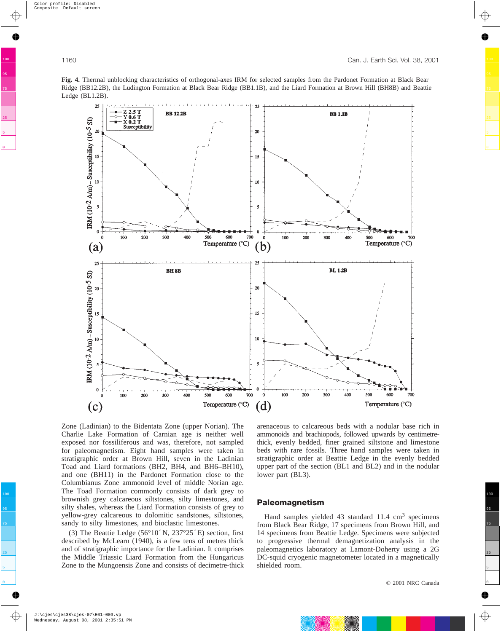**Fig. 4.** Thermal unblocking characteristics of orthogonal-axes IRM for selected samples from the Pardonet Formation at Black Bear Ridge (BB12.2B), the Ludington Formation at Black Bear Ridge (BB1.1B), and the Liard Formation at Brown Hill (BH8B) and Beattie Ledge (BL1.2B).



Zone (Ladinian) to the Bidentata Zone (upper Norian). The Charlie Lake Formation of Carnian age is neither well exposed nor fossiliferous and was, therefore, not sampled for paleomagnetism. Eight hand samples were taken in stratigraphic order at Brown Hill, seven in the Ladinian Toad and Liard formations (BH2, BH4, and BH6–BH10), and one (BH11) in the Pardonet Formation close to the Columbianus Zone ammonoid level of middle Norian age. The Toad Formation commonly consists of dark grey to brownish grey calcareous siltstones, silty limestones, and silty shales, whereas the Liard Formation consists of grey to yellow-grey calcareous to dolomitic sandstones, siltstones, sandy to silty limestones, and bioclastic limestones.

(3) The Beattie Ledge  $(56°10'N, 237°25'E)$  section, first described by McLearn (1940), is a few tens of metres thick and of stratigraphic importance for the Ladinian. It comprises the Middle Triassic Liard Formation from the Hungaricus Zone to the Mungoensis Zone and consists of decimetre-thick

arenaceous to calcareous beds with a nodular base rich in ammonoids and brachiopods, followed upwards by centimetrethick, evenly bedded, finer grained siltstone and limestone beds with rare fossils. Three hand samples were taken in stratigraphic order at Beattie Ledge in the evenly bedded upper part of the section (BL1 and BL2) and in the nodular lower part (BL3).

# **Paleomagnetism**

Hand samples yielded 43 standard  $11.4 \text{ cm}^3$  specimens from Black Bear Ridge, 17 specimens from Brown Hill, and 14 specimens from Beattie Ledge. Specimens were subjected to progressive thermal demagnetization analysis in the paleomagnetics laboratory at Lamont-Doherty using a 2G DC-squid cryogenic magnetometer located in a magnetically shielded room.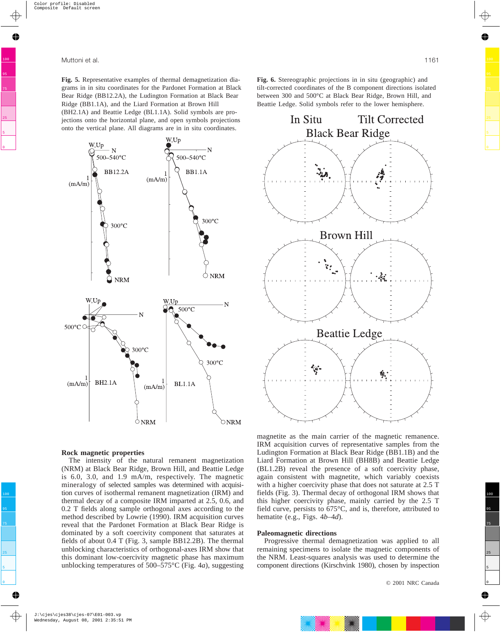**Fig. 5.** Representative examples of thermal demagnetization diagrams in in situ coordinates for the Pardonet Formation at Black Bear Ridge (BB12.2A), the Ludington Formation at Black Bear Ridge (BB1.1A), and the Liard Formation at Brown Hill (BH2.1A) and Beattie Ledge (BL1.1A). Solid symbols are projections onto the horizontal plane, and open symbols projections onto the vertical plane. All diagrams are in in situ coordinates.



#### **Rock magnetic properties**

The intensity of the natural remanent magnetization (NRM) at Black Bear Ridge, Brown Hill, and Beattie Ledge is 6.0, 3.0, and 1.9 mA/m, respectively. The magnetic mineralogy of selected samples was determined with acquisition curves of isothermal remanent magnetization (IRM) and thermal decay of a composite IRM imparted at 2.5, 0.6, and 0.2 T fields along sample orthogonal axes according to the method described by Lowrie (1990). IRM acquisition curves reveal that the Pardonet Formation at Black Bear Ridge is dominated by a soft coercivity component that saturates at fields of about 0.4 T (Fig. 3, sample BB12.2B). The thermal unblocking characteristics of orthogonal-axes IRM show that this dominant low-coercivity magnetic phase has maximum unblocking temperatures of 500–575°C (Fig. 4*a*), suggesting **Fig. 6.** Stereographic projections in in situ (geographic) and tilt-corrected coordinates of the B component directions isolated between 300 and 500°C at Black Bear Ridge, Brown Hill, and Beattie Ledge. Solid symbols refer to the lower hemisphere.



magnetite as the main carrier of the magnetic remanence. IRM acquisition curves of representative samples from the Ludington Formation at Black Bear Ridge (BB1.1B) and the Liard Formation at Brown Hill (BH8B) and Beattie Ledge (BL1.2B) reveal the presence of a soft coercivity phase, again consistent with magnetite, which variably coexists with a higher coercivity phase that does not saturate at 2.5 T fields (Fig. 3). Thermal decay of orthogonal IRM shows that this higher coercivity phase, mainly carried by the 2.5 T field curve, persists to 675°C, and is, therefore, attributed to hematite (e.g., Figs. 4*b*–4*d*).

#### **Paleomagnetic directions**

Progressive thermal demagnetization was applied to all remaining specimens to isolate the magnetic components of the NRM. Least-squares analysis was used to determine the component directions (Kirschvink 1980), chosen by inspection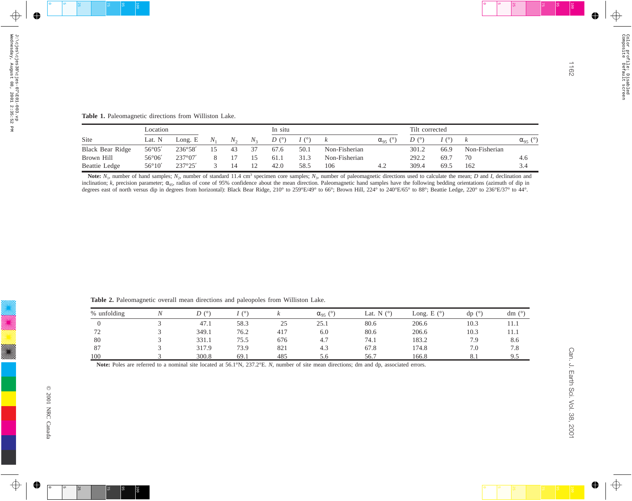|                         | Location        |                  |     |         | In situ |               |      |               | Tilt corrected  |               |      |               |                      |
|-------------------------|-----------------|------------------|-----|---------|---------|---------------|------|---------------|-----------------|---------------|------|---------------|----------------------|
| Site                    | Lat. N          | Long. E          | IV. | $N_{2}$ | $N_{2}$ | $D^{(\circ)}$ |      |               | $\alpha_{95}$ ( | $D^{(\circ)}$ |      |               | (°)<br>$\alpha_{95}$ |
| <b>Black Bear Ridge</b> | $56^{\circ}05'$ | 236°58'          |     | 43      | 37      | 67.6          | 50.1 | Non-Fisherian |                 | 301.2         | 66.9 | Non-Fisherian |                      |
| Brown Hill              | $56^{\circ}06'$ | $237^{\circ}07'$ |     |         | 15      | 61.1          | 31.3 | Non-Fisherian |                 | 292.2         | 69.7 | 70            | 4.6                  |
| Beattie Ledge           | $56^{\circ}10'$ | 237°25'          |     |         | 12      | 42.0          | 58.5 | 106           | 4.2             | 309.4         | 69.5 | 162           | 3.4                  |

|                                                                                                   | Location            |         |                | In situ        |                  |                          |                   |                   | Tilt corrected       |      |                  |                   |
|---------------------------------------------------------------------------------------------------|---------------------|---------|----------------|----------------|------------------|--------------------------|-------------------|-------------------|----------------------|------|------------------|-------------------|
| Site                                                                                              | Lat. N              | Long. E | $N_1$          | $N_2$<br>$N_3$ | D(°)             | I(°)<br>$\boldsymbol{k}$ |                   | $\alpha_{95}$ (°) | D(°)                 | I(°) | $\boldsymbol{k}$ | $\alpha_{95}$ (°) |
| <b>Black Bear Ridge</b>                                                                           | 56°05'              | 236°58' | 15             | $43\,$<br>37   | 67.6             | 50.1                     | Non-Fisherian     |                   | 301.2                | 66.9 | Non-Fisherian    |                   |
| Brown Hill                                                                                        | $56^{\circ}06'$     | 237°07' | 8              | 17<br>15       | 61.1             | 31.3                     | Non-Fisherian     |                   | 292.2                | 69.7 | $70\,$           | 4.6               |
| Beattie Ledge                                                                                     | $56^{\circ}10'$     | 237°25' | $\mathfrak{Z}$ | 14<br>12       | 42.0             | 58.5<br>106              | 4.2               |                   | 309.4                | 69.5 | 162              | 3.4               |
|                                                                                                   |                     |         |                |                |                  |                          |                   |                   |                      |      |                  |                   |
|                                                                                                   |                     |         |                |                |                  |                          |                   |                   |                      |      |                  |                   |
| Table 2. Paleomagnetic overall mean directions and paleopoles from Williston Lake.<br>% unfolding | $\cal N$            | D(°)    |                | I(°)           | $\boldsymbol{k}$ |                          | Lat. N $(^\circ)$ |                   | Long. E $(^{\circ})$ |      |                  | dm $(°)$          |
|                                                                                                   |                     |         |                |                |                  | $\alpha_{95}$ (°)        |                   |                   |                      |      | dp (°)           |                   |
| $\boldsymbol{0}$<br>72                                                                            | $\mathfrak{Z}$<br>3 |         | 47.1<br>349.1  | 58.3<br>76.2   | 25<br>417        | 25.1<br>6.0              | 80.6<br>80.6      |                   | 206.6<br>206.6       |      | 10.3<br>10.3     | 11.1<br>11.1      |
| $80\,$                                                                                            | 3                   |         | 331.1          | 75.5           | 676              | 4.7                      | 74.1              |                   | 183.2                |      | 7.9              | 8.6               |
| 87                                                                                                | $\mathfrak{Z}$      |         | 317.9          | 73.9           | 821              | 4.3                      | 67.8              |                   | 174.8                |      | $7.0\,$          | 7.8               |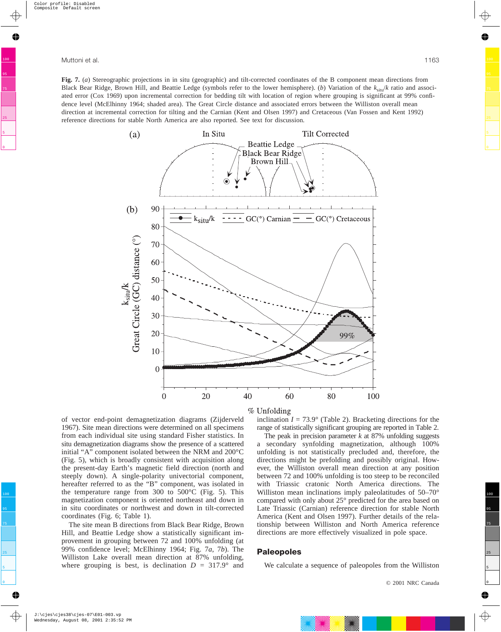**Fig. 7.** (*a*) Stereographic projections in in situ (geographic) and tilt-corrected coordinates of the B component mean directions from Black Bear Ridge, Brown Hill, and Beattie Ledge (symbols refer to the lower hemisphere). (*b*) Variation of the  $k_{\rm sin}/k$  ratio and associated error (Cox 1969) upon incremental correction for bedding tilt with location of region where grouping is significant at 99% confidence level (McElhinny 1964; shaded area). The Great Circle distance and associated errors between the Williston overall mean direction at incremental correction for tilting and the Carnian (Kent and Olsen 1997) and Cretaceous (Van Fossen and Kent 1992) reference directions for stable North America are also reported. See text for discussion.



#### % Unfolding

of vector end-point demagnetization diagrams (Zijderveld 1967). Site mean directions were determined on all specimens from each individual site using standard Fisher statistics. In situ demagnetization diagrams show the presence of a scattered initial "A" component isolated between the NRM and 200°C (Fig. 5), which is broadly consistent with acquisition along the present-day Earth's magnetic field direction (north and steeply down). A single-polarity univectorial component, hereafter referred to as the "B" component, was isolated in the temperature range from 300 to 500°C (Fig. 5). This magnetization component is oriented northeast and down in in situ coordinates or northwest and down in tilt-corrected coordinates (Fig. 6; Table 1).

The site mean B directions from Black Bear Ridge, Brown Hill, and Beattie Ledge show a statistically significant improvement in grouping between 72 and 100% unfolding (at 99% confidence level; McElhinny 1964; Fig. 7*a*, 7*b*). The Williston Lake overall mean direction at 87% unfolding, where grouping is best, is declination  $D = 317.9^{\circ}$  and inclination  $I = 73.9^{\circ}$  (Table 2). Bracketing directions for the range of statistically significant grouping are reported in Table 2.

The peak in precision parameter *k* at 87% unfolding suggests a secondary synfolding magnetization, although 100% unfolding is not statistically precluded and, therefore, the directions might be prefolding and possibly original. However, the Williston overall mean direction at any position between 72 and 100% unfolding is too steep to be reconciled with Triassic cratonic North America directions. The Williston mean inclinations imply paleolatitudes of 50–70° compared with only about 25° predicted for the area based on Late Triassic (Carnian) reference direction for stable North America (Kent and Olsen 1997). Further details of the relationship between Williston and North America reference directions are more effectively visualized in pole space.

#### **Paleopoles**

We calculate a sequence of paleopoles from the Williston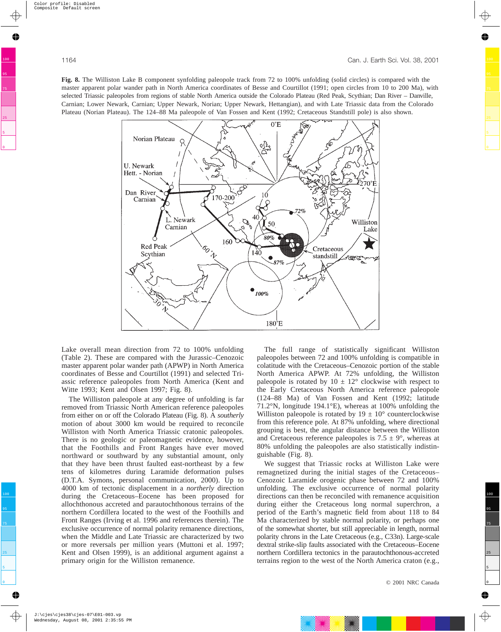**Fig. 8.** The Williston Lake B component synfolding paleopole track from 72 to 100% unfolding (solid circles) is compared with the master apparent polar wander path in North America coordinates of Besse and Courtillot (1991; open circles from 10 to 200 Ma), with selected Triassic paleopoles from regions of stable North America outside the Colorado Plateau (Red Peak, Scythian; Dan River – Danville, Carnian; Lower Newark, Carnian; Upper Newark, Norian; Upper Newark, Hettangian), and with Late Triassic data from the Colorado Plateau (Norian Plateau). The 124–88 Ma paleopole of Van Fossen and Kent (1992; Cretaceous Standstill pole) is also shown.



Lake overall mean direction from 72 to 100% unfolding (Table 2). These are compared with the Jurassic–Cenozoic master apparent polar wander path (APWP) in North America coordinates of Besse and Courtillot (1991) and selected Triassic reference paleopoles from North America (Kent and Witte 1993; Kent and Olsen 1997; Fig. 8).

The Williston paleopole at any degree of unfolding is far removed from Triassic North American reference paleopoles from either on or off the Colorado Plateau (Fig. 8). A *southerly* motion of about 3000 km would be required to reconcile Williston with North America Triassic cratonic paleopoles. There is no geologic or paleomagnetic evidence, however, that the Foothills and Front Ranges have ever moved northward or southward by any substantial amount, only that they have been thrust faulted east-northeast by a few tens of kilometres during Laramide deformation pulses (D.T.A. Symons, personal communication, 2000). Up to 4000 km of tectonic displacement in a *northerly* direction during the Cretaceous–Eocene has been proposed for allochthonous accreted and parautochthonous terrains of the northern Cordillera located to the west of the Foothills and Front Ranges (Irving et al. 1996 and references therein). The exclusive occurrence of normal polarity remanence directions, when the Middle and Late Triassic are characterized by two or more reversals per million years (Muttoni et al. 1997; Kent and Olsen 1999), is an additional argument against a primary origin for the Williston remanence.

The full range of statistically significant Williston paleopoles between 72 and 100% unfolding is compatible in colatitude with the Cretaceous–Cenozoic portion of the stable North America APWP. At 72% unfolding, the Williston paleopole is rotated by  $10 \pm 12^{\circ}$  clockwise with respect to the Early Cretaceous North America reference paleopole (124–88 Ma) of Van Fossen and Kent (1992; latitude 71.2°N, longitude 194.1°E), whereas at 100% unfolding the Williston paleopole is rotated by  $19 \pm 10^{\circ}$  counterclockwise from this reference pole. At 87% unfolding, where directional grouping is best, the angular distance between the Williston and Cretaceous reference paleopoles is  $7.5 \pm 9^{\circ}$ , whereas at 80% unfolding the paleopoles are also statistically indistinguishable (Fig. 8).

We suggest that Triassic rocks at Williston Lake were remagnetized during the initial stages of the Cretaceous– Cenozoic Laramide orogenic phase between 72 and 100% unfolding. The exclusive occurrence of normal polarity directions can then be reconciled with remanence acquisition during either the Cretaceous long normal superchron, a period of the Earth's magnetic field from about 118 to 84 Ma characterized by stable normal polarity, or perhaps one of the somewhat shorter, but still appreciable in length, normal polarity chrons in the Late Cretaceous (e.g., C33n). Large-scale dextral strike-slip faults associated with the Cretaceous–Eocene northern Cordillera tectonics in the parautochthonous-accreted terrains region to the west of the North America craton (e.g.,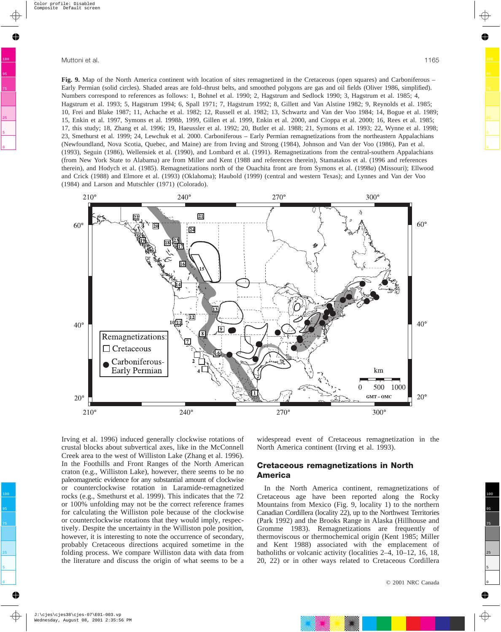**Fig. 9.** Map of the North America continent with location of sites remagnetized in the Cretaceous (open squares) and Carboniferous – Early Permian (solid circles). Shaded areas are fold–thrust belts, and smoothed polygons are gas and oil fields (Oliver 1986, simplified). Numbers correspond to references as follows: 1, Bohnel et al. 1990; 2, Hagstrum and Sedlock 1990; 3, Hagstrum et al. 1985; 4,

Hagstrum et al. 1993; 5, Hagstrum 1994; 6, Spall 1971; 7, Hagstrum 1992; 8, Gillett and Van Alstine 1982; 9, Reynolds et al. 1985; 10, Frei and Blake 1987; 11, Achache et al. 1982; 12, Russell et al. 1982; 13, Schwartz and Van der Voo 1984; 14, Bogue et al. 1989; 15, Enkin et al. 1997, Symons et al. 1998*b*, 1999, Gillen et al. 1999, Enkin et al. 2000, and Cioppa et al. 2000; 16, Rees et al. 1985; 17, this study; 18, Zhang et al. 1996; 19, Haeussler et al. 1992; 20, Butler et al. 1988; 21, Symons et al. 1993; 22, Wynne et al. 1998; 23, Smethurst et al. 1999; 24, Lewchuk et al. 2000. Carboniferous – Early Permian remagnetizations from the northeastern Appalachians (Newfoundland, Nova Scotia, Quebec, and Maine) are from Irving and Strong (1984), Johnson and Van der Voo (1986), Pan et al. (1993), Seguin (1986), Wellensiek et al. (1990), and Lombard et al. (1991). Remagnetizations from the central-southern Appalachians (from New York State to Alabama) are from Miller and Kent (1988 and references therein), Stamatakos et al. (1996 and references therein), and Hodych et al. (1985). Remagnetizations north of the Ouachita front are from Symons et al. (1998*a*) (Missouri); Ellwood and Crick (1988) and Elmore et al. (1993) (Oklahoma); Haubold (1999) (central and western Texas); and Lynnes and Van der Voo (1984) and Larson and Mutschler (1971) (Colorado).



Irving et al. 1996) induced generally clockwise rotations of crustal blocks about subvertical axes, like in the McConnell Creek area to the west of Williston Lake (Zhang et al. 1996). In the Foothills and Front Ranges of the North American craton (e.g., Williston Lake), however, there seems to be no paleomagnetic evidence for any substantial amount of clockwise or counterclockwise rotation in Laramide-remagnetized rocks (e.g., Smethurst et al. 1999). This indicates that the 72 or 100% unfolding may not be the correct reference frames for calculating the Williston pole because of the clockwise or counterclockwise rotations that they would imply, respectively. Despite the uncertainty in the Williston pole position, however, it is interesting to note the occurrence of secondary, probably Cretaceous directions acquired sometime in the folding process. We compare Williston data with data from the literature and discuss the origin of what seems to be a

widespread event of Cretaceous remagnetization in the North America continent (Irving et al. 1993).

## **Cretaceous remagnetizations in North America**

In the North America continent, remagnetizations of Cretaceous age have been reported along the Rocky Mountains from Mexico (Fig. 9, locality 1) to the northern Canadian Cordillera (locality 22), up to the Northwest Territories (Park 1992) and the Brooks Range in Alaska (Hillhouse and Gromme 1983). Remagnetizations are frequently of thermoviscous or thermochemical origin (Kent 1985; Miller and Kent 1988) associated with the emplacement of batholiths or volcanic activity (localities 2–4, 10–12, 16, 18, 20, 22) or in other ways related to Cretaceous Cordillera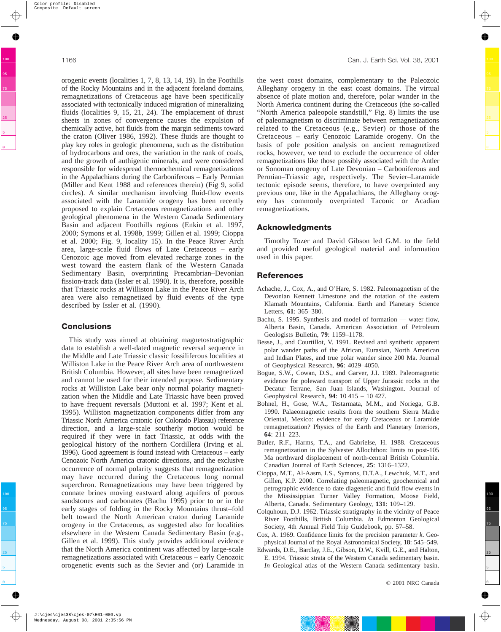orogenic events (localities 1, 7, 8, 13, 14, 19). In the Foothills of the Rocky Mountains and in the adjacent foreland domains, remagnetizations of Cretaceous age have been specifically associated with tectonically induced migration of mineralizing fluids (localities 9, 15, 21, 24). The emplacement of thrust sheets in zones of convergence causes the expulsion of chemically active, hot fluids from the margin sediments toward the craton (Oliver 1986, 1992). These fluids are thought to play key roles in geologic phenomena, such as the distribution of hydrocarbons and ores, the variation in the rank of coals, and the growth of authigenic minerals, and were considered responsible for widespread thermochemical remagnetizations in the Appalachians during the Carboniferous – Early Permian (Miller and Kent 1988 and references therein) (Fig 9, solid circles). A similar mechanism involving fluid-flow events associated with the Laramide orogeny has been recently proposed to explain Cretaceous remagnetizations and other geological phenomena in the Western Canada Sedimentary Basin and adjacent Foothills regions (Enkin et al. 1997, 2000; Symons et al. 1998*b*, 1999; Gillen et al. 1999; Cioppa et al. 2000; Fig. 9, locality 15). In the Peace River Arch area, large-scale fluid flows of Late Cretaceous – early Cenozoic age moved from elevated recharge zones in the west toward the eastern flank of the Western Canada Sedimentary Basin, overprinting Precambrian–Devonian fission-track data (Issler et al. 1990). It is, therefore, possible that Triassic rocks at Williston Lake in the Peace River Arch area were also remagnetized by fluid events of the type described by Issler et al. (1990).

## **Conclusions**

This study was aimed at obtaining magnetostratigraphic data to establish a well-dated magnetic reversal sequence in the Middle and Late Triassic classic fossiliferous localities at Williston Lake in the Peace River Arch area of northwestern British Columbia. However, all sites have been remagnetized and cannot be used for their intended purpose. Sedimentary rocks at Williston Lake bear only normal polarity magnetization when the Middle and Late Triassic have been proved to have frequent reversals (Muttoni et al. 1997; Kent et al. 1995). Williston magnetization components differ from any Triassic North America cratonic (or Colorado Plateau) reference direction, and a large-scale southerly motion would be required if they were in fact Triassic, at odds with the geological history of the northern Cordillera (Irving et al. 1996). Good agreement is found instead with Cretaceous – early Cenozoic North America cratonic directions, and the exclusive occurrence of normal polarity suggests that remagnetization may have occurred during the Cretaceous long normal superchron. Remagnetizations may have been triggered by connate brines moving eastward along aquifers of porous sandstones and carbonates (Bachu 1995) prior to or in the early stages of folding in the Rocky Mountains thrust–fold belt toward the North American craton during Laramide orogeny in the Cretaceous, as suggested also for localities elsewhere in the Western Canada Sedimentary Basin (e.g., Gillen et al. 1999). This study provides additional evidence that the North America continent was affected by large-scale remagnetizations associated with Cretaceous – early Cenozoic orogenetic events such as the Sevier and (or) Laramide in the west coast domains, complementary to the Paleozoic Alleghany orogeny in the east coast domains. The virtual absence of plate motion and, therefore, polar wander in the North America continent during the Cretaceous (the so-called "North America paleopole standstill," Fig. 8) limits the use of paleomagnetism to discriminate between remagnetizations related to the Cretaceous (e.g., Sevier) or those of the Cretaceous – early Cenozoic Laramide orogeny. On the basis of pole position analysis on ancient remagnetized rocks, however, we tend to exclude the occurrence of older remagnetizations like those possibly associated with the Antler or Sonoman orogeny of Late Devonian – Carboniferous and Permian–Triassic age, respectively. The Sevier–Laramide tectonic episode seems, therefore, to have overprinted any previous one, like in the Appalachians, the Alleghany orogeny has commonly overprinted Taconic or Acadian remagnetizations.

#### **Acknowledgments**

Timothy Tozer and David Gibson led G.M. to the field and provided useful geological material and information used in this paper.

### **References**

- Achache, J., Cox, A., and O'Hare, S. 1982. Paleomagnetism of the Devonian Kennett Limestone and the rotation of the eastern Klamath Mountains, California. Earth and Planetary Science Letters, **61**: 365–380.
- Bachu, S. 1995. Synthesis and model of formation water flow, Alberta Basin, Canada. American Association of Petroleum Geologists Bulletin, **79**: 1159–1178.
- Besse, J., and Courtillot, V. 1991. Revised and synthetic apparent polar wander paths of the African, Eurasian, North American and Indian Plates, and true polar wander since 200 Ma. Journal of Geophysical Research, **96**: 4029–4050.
- Bogue, S.W., Cowan, D.S., and Garver, J.I. 1989. Paleomagnetic evidence for poleward transport of Upper Jurassic rocks in the Decatur Terrane, San Juan Islands, Washington. Journal of Geophysical Research, **94**: 10 415 – 10 427.
- Bohnel, H., Gose, W.A., Testarmata, M.M., and Noriega, G.B. 1990. Palaeomagnetic results from the southern Sierra Madre Oriental, Mexico: evidence for early Cretaceous or Laramide remagnetization? Physics of the Earth and Planetary Interiors, **64**: 211–223.
- Butler, R.F., Harms, T.A., and Gabrielse, H. 1988. Cretaceous remagnetization in the Sylvester Allochthon: limits to post-105 Ma northward displacement of north-central British Columbia. Canadian Journal of Earth Sciences, **25**: 1316–1322.
- Cioppa, M.T., Al-Aasm, I.S., Symons, D.T.A., Lewchuk, M.T., and Gillen, K.P. 2000. Correlating paleomagnetic, geochemical and petrographic evidence to date diagenetic and fluid flow events in the Mississippian Turner Valley Formation, Moose Field, Alberta, Canada. Sedimentary Geology, **131**: 109–129.
- Colquhoun, D.J. 1962. Triassic stratigraphy in the vicinity of Peace River Foothills, British Columbia. *In* Edmonton Geological Society, 4th Annual Field Trip Guidebook, pp. 57–58.
- Cox, A. 1969. Confidence limits for the precision parameter *k*. Geophysical Journal of the Royal Astronomical Society, **18**: 545–549.
- Edwards, D.E., Barclay, J.E., Gibson, D.W., Kvill, G.E., and Halton, E. 1994. Triassic strata of the Western Canada sedimentary basin. *In* Geological atlas of the Western Canada sedimentary basin.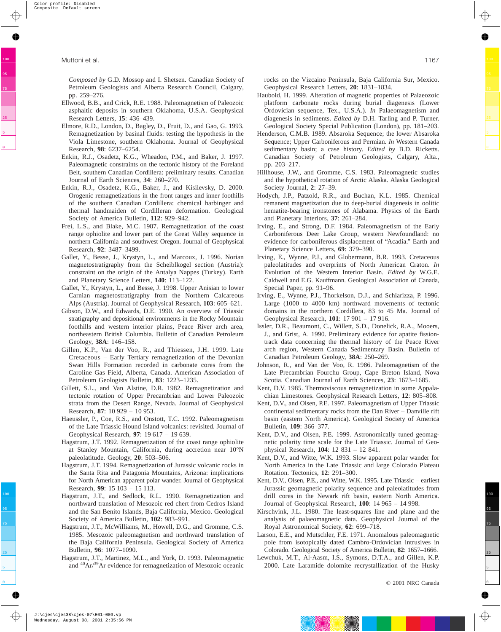*Composed by* G.D. Mossop and I. Shetsen. Canadian Society of Petroleum Geologists and Alberta Research Council, Calgary, pp. 259–276.

- Ellwood, B.B., and Crick, R.E. 1988. Paleomagnetism of Paleozoic asphaltic deposits in southern Oklahoma, U.S.A. Geophysical Research Letters, **15**: 436–439.
- Elmore, R.D., London, D., Bagley, D., Fruit, D., and Gao, G. 1993. Remagnetization by basinal fluids: testing the hypothesis in the Viola Limestone, southern Oklahoma. Journal of Geophysical Research, **98**: 6237–6254.
- Enkin, R.J., Osadetz, K.G., Wheadon, P.M., and Baker, J. 1997. Paleomagnetic constraints on the tectonic history of the Foreland Belt, southern Canadian Cordillera: preliminary results. Canadian Journal of Earth Sciences, **34**: 260–270.
- Enkin, R.J., Osadetz, K.G., Baker, J., and Kisilevsky, D. 2000. Orogenic remagnetizations in the front ranges and inner foothills of the southern Canadian Cordillera: chemical harbinger and thermal handmaiden of Cordilleran deformation. Geological Society of America Bulletin, **112**: 929–942.
- Frei, L.S., and Blake, M.C. 1987. Remagnetization of the coast range ophiolite and lower part of the Great Valley sequence in northern California and southwest Oregon. Journal of Geophysical Research, **92**: 3487–3499.
- Gallet, Y., Besse, J., Krystyn, L., and Marcoux, J. 1996. Norian magnetostratigraphy from the Scheiblkogel section (Austria): constraint on the origin of the Antalya Nappes (Turkey). Earth and Planetary Science Letters, **140**: 113–122.
- Gallet, Y., Krystyn, L., and Besse, J. 1998. Upper Anisian to lower Carnian magnetostratigraphy from the Northern Calcareous Alps (Austria). Journal of Geophysical Research, **103**: 605–621.
- Gibson, D.W., and Edwards, D.E. 1990. An overview of Triassic stratigraphy and depositional environments in the Rocky Mountain foothills and western interior plains, Peace River arch area, northeastern British Columbia. Bulletin of Canadian Petroleum Geology, **38A**: 146–158.
- Gillen, K.P., Van der Voo, R., and Thiessen, J.H. 1999. Late Cretaceous – Early Tertiary remagnetization of the Devonian Swan Hills Formation recorded in carbonate cores from the Caroline Gas Field, Alberta, Canada. American Association of Petroleum Geologists Bulletin, **83**: 1223–1235.
- Gillett, S.L., and Van Alstine, D.R. 1982. Remagnetization and tectonic rotation of Upper Precambrian and Lower Paleozoic strata from the Desert Range, Nevada. Journal of Geophysical Research, **87**: 10 929 – 10 953.
- Haeussler, P., Coe, R.S., and Onstott, T.C. 1992. Paleomagnetism of the Late Triassic Hound Island volcanics: revisited. Journal of Geophysical Research, **97**: 19 617 – 19 639.
- Hagstrum, J.T. 1992. Remagnetization of the coast range ophiolite at Stanley Mountain, California, during accretion near 10°N paleolatitude. Geology, **20**: 503–506.
- Hagstrum, J.T. 1994. Remagnetization of Jurassic volcanic rocks in the Santa Rita and Patagonia Mountains, Arizona: implications for North American apparent polar wander. Journal of Geophysical Research, **99**: 15 103 – 15 113.
- Hagstrum, J.T., and Sedlock, R.L. 1990. Remagnetization and northward translation of Mesozoic red chert from Cedros Island and the San Benito Islands, Baja California, Mexico. Geological Society of America Bulletin, **102**: 983–991.
- Hagstrum, J.T., McWilliams, M., Howell, D.G., and Gromme, C.S. 1985. Mesozoic paleomagnetism and northward translation of the Baja California Peninsula. Geological Society of America Bulletin, **96**: 1077–1090.
- Hagstrum, J.T., Martinez, M.L., and York, D. 1993. Paleomagnetic and 40Ar/39Ar evidence for remagnetization of Mesozoic oceanic

rocks on the Vizcaino Peninsula, Baja California Sur, Mexico. Geophysical Research Letters, **20**: 1831–1834.

- Haubold, H. 1999. Alteration of magnetic properties of Palaeozoic platform carbonate rocks during burial diagenesis (Lower Ordovician sequence, Tex., U.S.A.). *In* Palaeomagnetism and diagenesis in sediments. *Edited by* D.H. Tarling and P. Turner. Geological Society Special Publication (London), pp. 181–203.
- Henderson, C.M.B. 1989. Absaroka Sequence; the lower Absaroka Sequence; Upper Carboniferous and Permian. *In* Western Canada sedimentary basin; a case history. *Edited by* B.D. Ricketts. Canadian Society of Petroleum Geologists, Calgary, Alta., pp. 203–217.
- Hillhouse, J.W., and Gromme, C.S. 1983. Paleomagnetic studies and the hypothetical rotation of Arctic Alaska. Alaska Geological Society Journal, **2**: 27–39.
- Hodych, J.P., Patzold, R.R., and Buchan, K.L. 1985. Chemical remanent magnetization due to deep-burial diagenesis in oolitic hematite-bearing ironstones of Alabama. Physics of the Earth and Planetary Interiors, **37**: 261–284.
- Irving, E., and Strong, D.F. 1984. Paleomagnetism of the Early Carboniferous Deer Lake Group, western Newfoundland: no evidence for carboniferous displacement of "Acadia." Earth and Planetary Science Letters, **69**: 379–390.
- Irving, E., Wynne, P.J., and Globermann, B.R. 1993. Cretaceous paleolatitudes and overprints of North American Craton. *In* Evolution of the Western Interior Basin. *Edited by* W.G.E. Caldwell and E.G. Kauffmann. Geological Association of Canada, Special Paper, pp. 91–96.
- Irving, E., Wynne, P.J., Thorkelson, D.J., and Schiarizza, P. 1996. Large (1000 to 4000 km) northward movements of tectonic domains in the northern Cordillera, 83 to 45 Ma. Journal of Geophysical Research, **101**: 17 901 – 17 916.
- Issler, D.R., Beaumont, C., Willett, S.D., Donelick, R.A., Mooers, J., and Grist, A. 1990. Preliminary evidence for apatite fissiontrack data concerning the thermal history of the Peace River arch region, Western Canada Sedimentary Basin. Bulletin of Canadian Petroleum Geology, **38A**: 250–269.
- Johnson, R., and Van der Voo, R. 1986. Paleomagnetism of the Late Precambrian Fourchu Group, Cape Breton Island, Nova Scotia. Canadian Journal of Earth Sciences, **23**: 1673–1685.
- Kent, D.V. 1985. Thermoviscous remagnetization in some Appalachian Limestones. Geophysical Research Letters, **12**: 805–808.
- Kent, D.V., and Olsen, P.E. 1997. Paleomagnetism of Upper Triassic continental sedimentary rocks from the Dan River – Danville rift basin (eastern North America). Geological Society of America Bulletin, **109**: 366–377.
- Kent, D.V., and Olsen, P.E. 1999. Astronomically tuned geomagnetic polarity time scale for the Late Triassic. Journal of Geophysical Research, **104**: 12 831 – 12 841.
- Kent, D.V., and Witte, W.K. 1993. Slow apparent polar wander for North America in the Late Triassic and large Colorado Plateau Rotation. Tectonics, **12**: 291–300.
- Kent, D.V., Olsen, P.E., and Witte, W.K. 1995. Late Triassic earliest Jurassic geomagnetic polarity sequence and paleolatitudes from drill cores in the Newark rift basin, eastern North America. Journal of Geophysical Research, **100**: 14 965 – 14 998.
- Kirschvink, J.L. 1980. The least-squares line and plane and the analysis of palaeomagnetic data. Geophysical Journal of the Royal Astronomical Society, **62**: 699–718.
- Larson, E.E., and Mutschler, F.E. 1971. Anomalous paleomagnetic pole from isotopically dated Cambro-Ordovician intrusives in Colorado. Geological Society of America Bulletin, **82**: 1657–1666.
- Lewchuk, M.T., Al-Aasm, I.S., Symons, D.T.A., and Gillen, K.P. 2000. Late Laramide dolomite recrystallization of the Husky